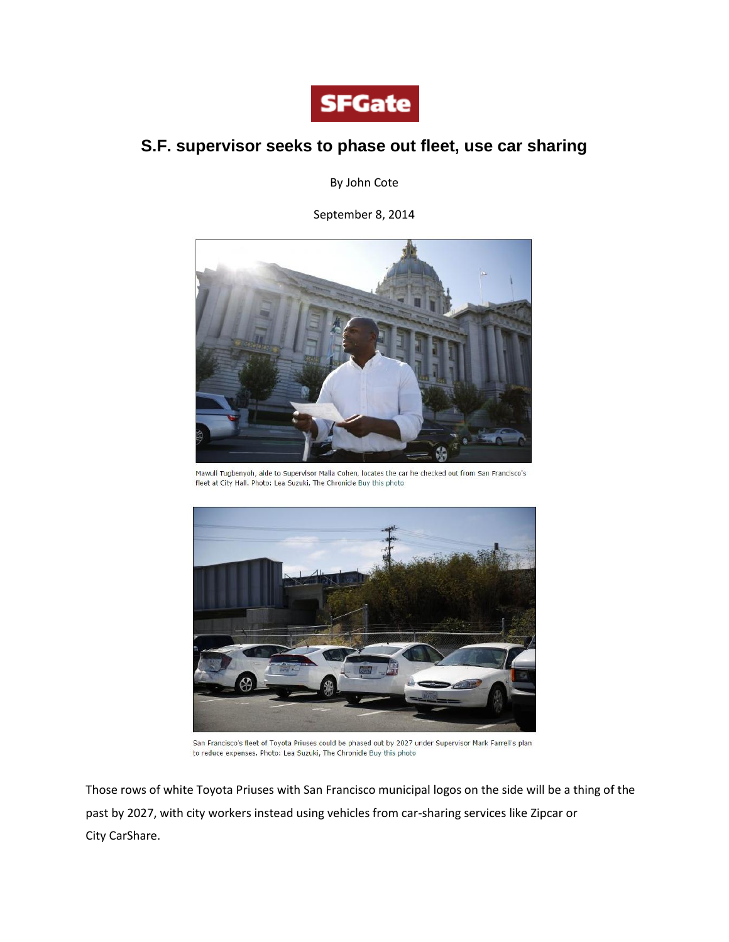

## **S.F. supervisor seeks to phase out fleet, use car sharing**

By John Cote

September 8, 2014



Mawuli Tugbenyoh, aide to Supervisor Malia Cohen, locates the car he checked out from San Francisco's fleet at City Hall. Photo: Lea Suzuki, The Chronicle Buy this photo



San Francisco's fleet of Toyota Priuses could be phased out by 2027 under Supervisor Mark Farrell's plan to reduce expenses. Photo: Lea Suzuki, The Chronicle Buy this photo

Those rows of white Toyota Priuses with San Francisco municipal logos on the side will be a thing of the past by 2027, with city workers instead using vehicles from car-sharing services like Zipcar or City CarShare.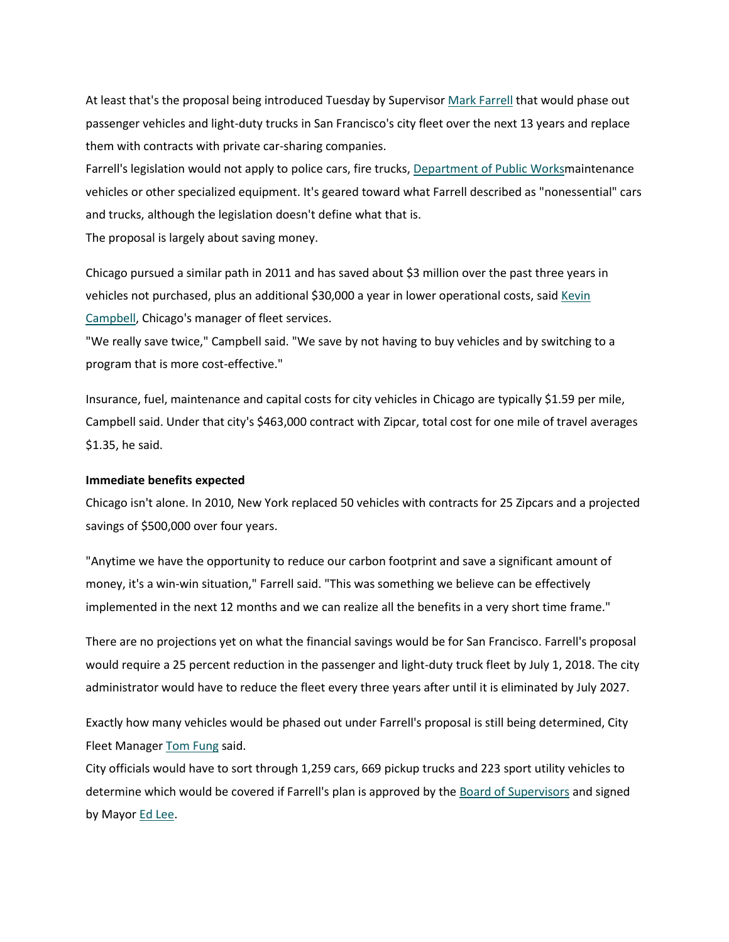At least that's the proposal being introduced Tuesday by Supervisor Mark [Farrell](http://www.sfgate.com/?controllerName=search&action=search&channel=bayarea&search=1&inlineLink=1&query=%22Mark+Farrell%22) that would phase out passenger vehicles and light-duty trucks in San Francisco's city fleet over the next 13 years and replace them with contracts with private car-sharing companies.

Farrell's legislation would not apply to police cars, fire trucks, [Department](http://www.sfgate.com/?controllerName=search&action=search&channel=bayarea&search=1&inlineLink=1&query=%22Department+of+Public+Works%22) of Public Worksmaintenance vehicles or other specialized equipment. It's geared toward what Farrell described as "nonessential" cars and trucks, although the legislation doesn't define what that is.

The proposal is largely about saving money.

Chicago pursued a similar path in 2011 and has saved about \$3 million over the past three years in vehicles not purchased, plus an additional \$30,000 a year in lower operational costs, said [Kevin](http://www.sfgate.com/?controllerName=search&action=search&channel=bayarea&search=1&inlineLink=1&query=%22Kevin+Campbell%22) [Campbell,](http://www.sfgate.com/?controllerName=search&action=search&channel=bayarea&search=1&inlineLink=1&query=%22Kevin+Campbell%22) Chicago's manager of fleet services.

"We really save twice," Campbell said. "We save by not having to buy vehicles and by switching to a program that is more cost-effective."

Insurance, fuel, maintenance and capital costs for city vehicles in Chicago are typically \$1.59 per mile, Campbell said. Under that city's \$463,000 contract with Zipcar, total cost for one mile of travel averages \$1.35, he said.

## **Immediate benefits expected**

Chicago isn't alone. In 2010, New York replaced 50 vehicles with contracts for 25 Zipcars and a projected savings of \$500,000 over four years.

"Anytime we have the opportunity to reduce our carbon footprint and save a significant amount of money, it's a win-win situation," Farrell said. "This was something we believe can be effectively implemented in the next 12 months and we can realize all the benefits in a very short time frame."

There are no projections yet on what the financial savings would be for San Francisco. Farrell's proposal would require a 25 percent reduction in the passenger and light-duty truck fleet by July 1, 2018. The city administrator would have to reduce the fleet every three years after until it is eliminated by July 2027.

Exactly how many vehicles would be phased out under Farrell's proposal is still being determined, City Fleet Manager Tom [Fung](http://www.sfgate.com/?controllerName=search&action=search&channel=bayarea&search=1&inlineLink=1&query=%22Tom+Fung%22) said.

City officials would have to sort through 1,259 cars, 669 pickup trucks and 223 sport utility vehicles to determine which would be covered if Farrell's plan is approved by the Board of [Supervisors](http://www.sfgate.com/?controllerName=search&action=search&channel=bayarea&search=1&inlineLink=1&query=%22Board+of+Supervisors%22) and signed by Mayor **Ed Lee**.